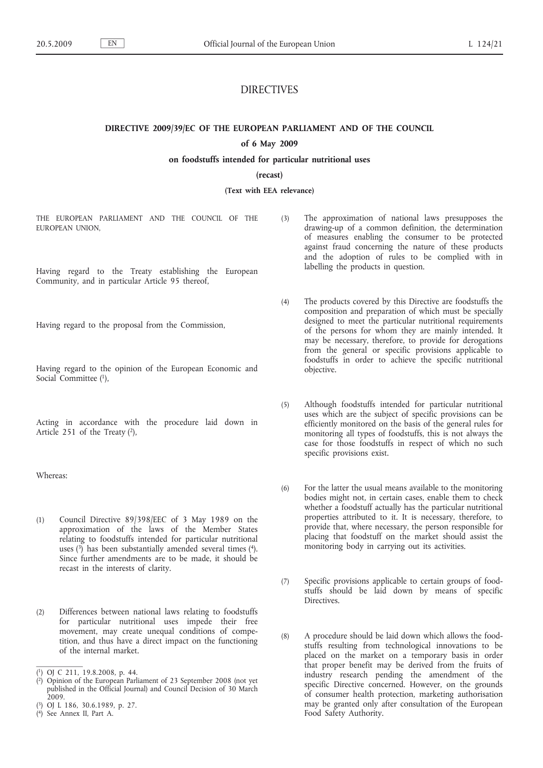# DIRECTIVES

**DIRECTIVE 2009/39/EC OF THE EUROPEAN PARLIAMENT AND OF THE COUNCIL**

## **of 6 May 2009**

## **on foodstuffs intended for particular nutritional uses**

#### **(recast)**

**(Text with EEA relevance)**

THE EUROPEAN PARLIAMENT AND THE COUNCIL OF THE EUROPEAN UNION,

Having regard to the Treaty establishing the European Community, and in particular Article 95 thereof,

Having regard to the proposal from the Commission,

Having regard to the opinion of the European Economic and Social Committee (1).

Acting in accordance with the procedure laid down in Article 251 of the Treaty  $(2)$ ,

Whereas:

- (1) Council Directive 89/398/EEC of 3 May 1989 on the approximation of the laws of the Member States relating to foodstuffs intended for particular nutritional uses  $(3)$  has been substantially amended several times  $(4)$ . Since further amendments are to be made, it should be recast in the interests of clarity.
- (2) Differences between national laws relating to foodstuffs for particular nutritional uses impede their free movement, may create unequal conditions of competition, and thus have a direct impact on the functioning of the internal market.

( 4) See Annex II, Part A.

- (3) The approximation of national laws presupposes the drawing-up of a common definition, the determination of measures enabling the consumer to be protected against fraud concerning the nature of these products and the adoption of rules to be complied with in labelling the products in question.
- (4) The products covered by this Directive are foodstuffs the composition and preparation of which must be specially designed to meet the particular nutritional requirements of the persons for whom they are mainly intended. It may be necessary, therefore, to provide for derogations from the general or specific provisions applicable to foodstuffs in order to achieve the specific nutritional objective.
- (5) Although foodstuffs intended for particular nutritional uses which are the subject of specific provisions can be efficiently monitored on the basis of the general rules for monitoring all types of foodstuffs, this is not always the case for those foodstuffs in respect of which no such specific provisions exist.
- (6) For the latter the usual means available to the monitoring bodies might not, in certain cases, enable them to check whether a foodstuff actually has the particular nutritional properties attributed to it. It is necessary, therefore, to provide that, where necessary, the person responsible for placing that foodstuff on the market should assist the monitoring body in carrying out its activities.
- (7) Specific provisions applicable to certain groups of foodstuffs should be laid down by means of specific Directives.
- (8) A procedure should be laid down which allows the foodstuffs resulting from technological innovations to be placed on the market on a temporary basis in order that proper benefit may be derived from the fruits of industry research pending the amendment of the specific Directive concerned. However, on the grounds of consumer health protection, marketing authorisation may be granted only after consultation of the European Food Safety Authority.

<sup>(</sup> 1) OJ C 211, 19.8.2008, p. 44.

<sup>(</sup> 2) Opinion of the European Parliament of 23 September 2008 (not yet published in the Official Journal) and Council Decision of 30 March  $2009.$ 

<sup>(</sup> 3) OJ L 186, 30.6.1989, p. 27.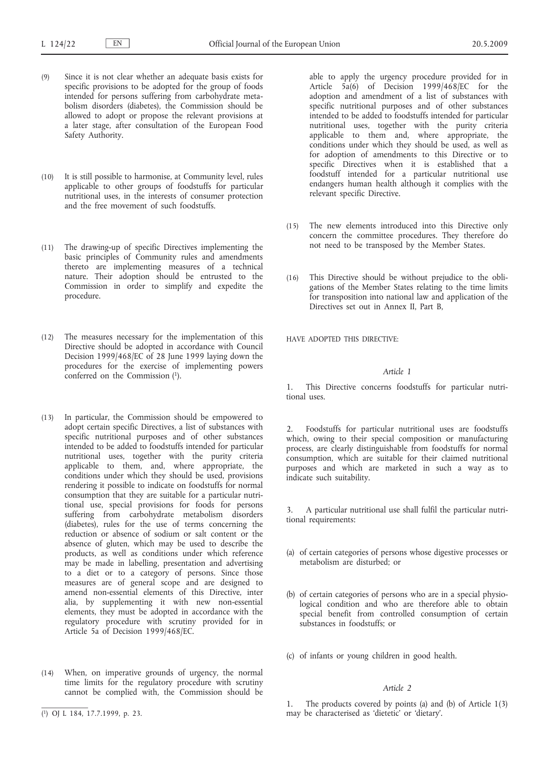- (9) Since it is not clear whether an adequate basis exists for specific provisions to be adopted for the group of foods intended for persons suffering from carbohydrate metabolism disorders (diabetes), the Commission should be allowed to adopt or propose the relevant provisions at a later stage, after consultation of the European Food Safety Authority.
- (10) It is still possible to harmonise, at Community level, rules applicable to other groups of foodstuffs for particular nutritional uses, in the interests of consumer protection and the free movement of such foodstuffs.
- (11) The drawing-up of specific Directives implementing the basic principles of Community rules and amendments thereto are implementing measures of a technical nature. Their adoption should be entrusted to the Commission in order to simplify and expedite the procedure.
- (12) The measures necessary for the implementation of this Directive should be adopted in accordance with Council Decision 1999/468/EC of 28 June 1999 laying down the procedures for the exercise of implementing powers conferred on the Commission (1).
- (13) In particular, the Commission should be empowered to adopt certain specific Directives, a list of substances with specific nutritional purposes and of other substances intended to be added to foodstuffs intended for particular nutritional uses, together with the purity criteria applicable to them, and, where appropriate, the conditions under which they should be used, provisions rendering it possible to indicate on foodstuffs for normal consumption that they are suitable for a particular nutritional use, special provisions for foods for persons suffering from carbohydrate metabolism disorders (diabetes), rules for the use of terms concerning the reduction or absence of sodium or salt content or the absence of gluten, which may be used to describe the products, as well as conditions under which reference may be made in labelling, presentation and advertising to a diet or to a category of persons. Since those measures are of general scope and are designed to amend non-essential elements of this Directive, inter alia, by supplementing it with new non-essential elements, they must be adopted in accordance with the regulatory procedure with scrutiny provided for in Article 5a of Decision 1999/468/EC.
- (14) When, on imperative grounds of urgency, the normal time limits for the regulatory procedure with scrutiny cannot be complied with, the Commission should be

able to apply the urgency procedure provided for in Article  $5a(6)$  of Decision 1999/468/EC for the adoption and amendment of a list of substances with specific nutritional purposes and of other substances intended to be added to foodstuffs intended for particular nutritional uses, together with the purity criteria applicable to them and, where appropriate, the conditions under which they should be used, as well as for adoption of amendments to this Directive or to specific Directives when it is established that a foodstuff intended for a particular nutritional use endangers human health although it complies with the relevant specific Directive.

- (15) The new elements introduced into this Directive only concern the committee procedures. They therefore do not need to be transposed by the Member States.
- (16) This Directive should be without prejudice to the obligations of the Member States relating to the time limits for transposition into national law and application of the Directives set out in Annex II, Part B,

HAVE ADOPTED THIS DIRECTIVE:

## *Article 1*

1. This Directive concerns foodstuffs for particular nutritional uses.

2. Foodstuffs for particular nutritional uses are foodstuffs which, owing to their special composition or manufacturing process, are clearly distinguishable from foodstuffs for normal consumption, which are suitable for their claimed nutritional purposes and which are marketed in such a way as to indicate such suitability.

3. A particular nutritional use shall fulfil the particular nutritional requirements:

- (a) of certain categories of persons whose digestive processes or metabolism are disturbed; or
- (b) of certain categories of persons who are in a special physiological condition and who are therefore able to obtain special benefit from controlled consumption of certain substances in foodstuffs; or
- (c) of infants or young children in good health.

#### *Article 2*

The products covered by points (a) and (b) of Article  $1(3)$ may be characterised as 'dietetic' or 'dietary'.

<sup>(</sup> 1) OJ L 184, 17.7.1999, p. 23.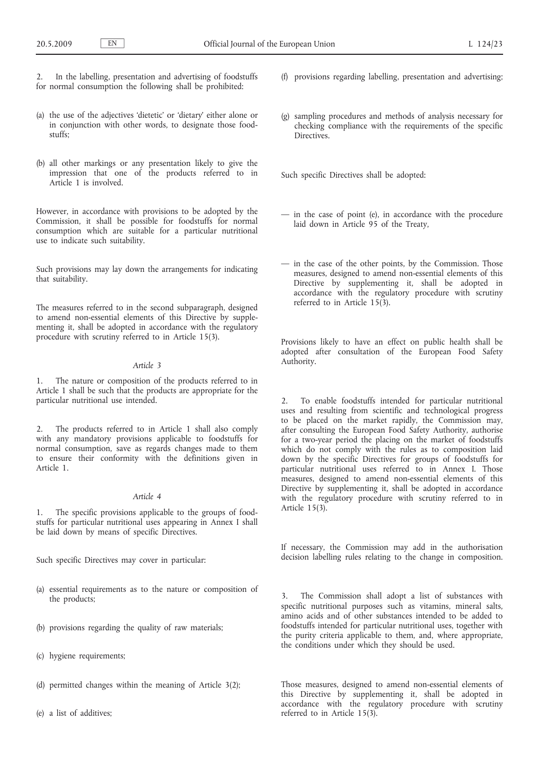In the labelling, presentation and advertising of foodstuffs for normal consumption the following shall be prohibited:

- (a) the use of the adjectives 'dietetic' or 'dietary' either alone or in conjunction with other words, to designate those foodstuffs;
- (b) all other markings or any presentation likely to give the impression that one of the products referred to in Article 1 is involved.

However, in accordance with provisions to be adopted by the Commission, it shall be possible for foodstuffs for normal consumption which are suitable for a particular nutritional use to indicate such suitability.

Such provisions may lay down the arrangements for indicating that suitability.

The measures referred to in the second subparagraph, designed to amend non-essential elements of this Directive by supplementing it, shall be adopted in accordance with the regulatory procedure with scrutiny referred to in Article 15(3).

## *Article 3*

1. The nature or composition of the products referred to in Article 1 shall be such that the products are appropriate for the particular nutritional use intended.

The products referred to in Article 1 shall also comply with any mandatory provisions applicable to foodstuffs for normal consumption, save as regards changes made to them to ensure their conformity with the definitions given in Article 1.

#### *Article 4*

1. The specific provisions applicable to the groups of foodstuffs for particular nutritional uses appearing in Annex I shall be laid down by means of specific Directives.

Such specific Directives may cover in particular:

- (a) essential requirements as to the nature or composition of the products;
- (b) provisions regarding the quality of raw materials;
- (c) hygiene requirements;
- (d) permitted changes within the meaning of Article 3(2);
- (e) a list of additives;
- (f) provisions regarding labelling, presentation and advertising;
- (g) sampling procedures and methods of analysis necessary for checking compliance with the requirements of the specific Directives.

Such specific Directives shall be adopted:

- in the case of point (e), in accordance with the procedure laid down in Article 95 of the Treaty,
- in the case of the other points, by the Commission. Those measures, designed to amend non-essential elements of this Directive by supplementing it, shall be adopted in accordance with the regulatory procedure with scrutiny referred to in Article 15(3).

Provisions likely to have an effect on public health shall be adopted after consultation of the European Food Safety Authority.

2. To enable foodstuffs intended for particular nutritional uses and resulting from scientific and technological progress to be placed on the market rapidly, the Commission may, after consulting the European Food Safety Authority, authorise for a two-year period the placing on the market of foodstuffs which do not comply with the rules as to composition laid down by the specific Directives for groups of foodstuffs for particular nutritional uses referred to in Annex I. Those measures, designed to amend non-essential elements of this Directive by supplementing it, shall be adopted in accordance with the regulatory procedure with scrutiny referred to in Article 15(3).

If necessary, the Commission may add in the authorisation decision labelling rules relating to the change in composition.

The Commission shall adopt a list of substances with specific nutritional purposes such as vitamins, mineral salts, amino acids and of other substances intended to be added to foodstuffs intended for particular nutritional uses, together with the purity criteria applicable to them, and, where appropriate, the conditions under which they should be used.

Those measures, designed to amend non-essential elements of this Directive by supplementing it, shall be adopted in accordance with the regulatory procedure with scrutiny referred to in Article 15(3).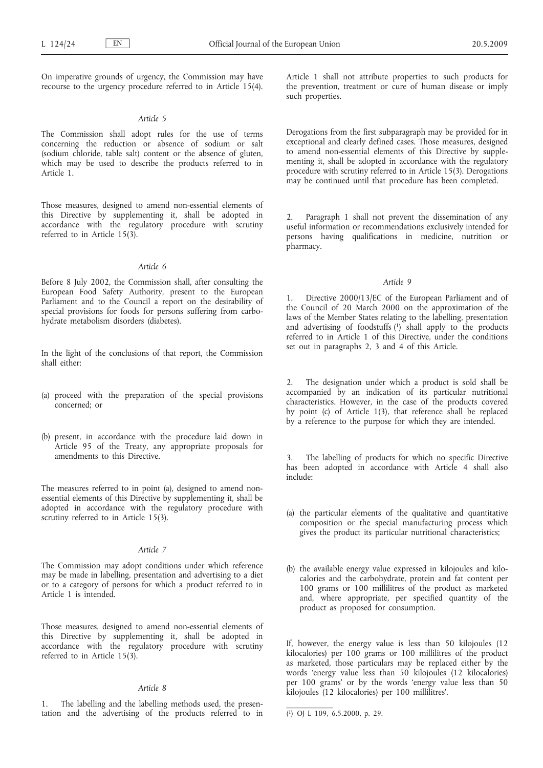On imperative grounds of urgency, the Commission may have recourse to the urgency procedure referred to in Article 15(4).

#### *Article 5*

The Commission shall adopt rules for the use of terms concerning the reduction or absence of sodium or salt (sodium chloride, table salt) content or the absence of gluten, which may be used to describe the products referred to in Article 1.

Those measures, designed to amend non-essential elements of this Directive by supplementing it, shall be adopted in accordance with the regulatory procedure with scrutiny referred to in Article 15(3).

## *Article 6*

Before 8 July 2002, the Commission shall, after consulting the European Food Safety Authority, present to the European Parliament and to the Council a report on the desirability of special provisions for foods for persons suffering from carbohydrate metabolism disorders (diabetes).

In the light of the conclusions of that report, the Commission shall either:

- (a) proceed with the preparation of the special provisions concerned; or
- (b) present, in accordance with the procedure laid down in Article 95 of the Treaty, any appropriate proposals for amendments to this Directive.

The measures referred to in point (a), designed to amend nonessential elements of this Directive by supplementing it, shall be adopted in accordance with the regulatory procedure with scrutiny referred to in Article 15(3).

#### *Article 7*

The Commission may adopt conditions under which reference may be made in labelling, presentation and advertising to a diet or to a category of persons for which a product referred to in Article 1 is intended.

Those measures, designed to amend non-essential elements of this Directive by supplementing it, shall be adopted in accordance with the regulatory procedure with scrutiny referred to in Article 15(3).

## *Article 8*

1. The labelling and the labelling methods used, the presentation and the advertising of the products referred to in Article 1 shall not attribute properties to such products for the prevention, treatment or cure of human disease or imply such properties.

Derogations from the first subparagraph may be provided for in exceptional and clearly defined cases. Those measures, designed to amend non-essential elements of this Directive by supplementing it, shall be adopted in accordance with the regulatory procedure with scrutiny referred to in Article 15(3). Derogations may be continued until that procedure has been completed.

2. Paragraph 1 shall not prevent the dissemination of any useful information or recommendations exclusively intended for persons having qualifications in medicine, nutrition or pharmacy.

#### *Article 9*

1. Directive 2000/13/EC of the European Parliament and of the Council of 20 March 2000 on the approximation of the laws of the Member States relating to the labelling, presentation and advertising of foodstuffs  $\binom{1}{1}$  shall apply to the products referred to in Article 1 of this Directive, under the conditions set out in paragraphs 2, 3 and 4 of this Article.

The designation under which a product is sold shall be accompanied by an indication of its particular nutritional characteristics. However, in the case of the products covered by point (c) of Article 1(3), that reference shall be replaced by a reference to the purpose for which they are intended.

3. The labelling of products for which no specific Directive has been adopted in accordance with Article 4 shall also include:

- (a) the particular elements of the qualitative and quantitative composition or the special manufacturing process which gives the product its particular nutritional characteristics;
- (b) the available energy value expressed in kilojoules and kilocalories and the carbohydrate, protein and fat content per 100 grams or 100 millilitres of the product as marketed and, where appropriate, per specified quantity of the product as proposed for consumption.

If, however, the energy value is less than 50 kilojoules (12 kilocalories) per 100 grams or 100 millilitres of the product as marketed, those particulars may be replaced either by the words 'energy value less than 50 kilojoules (12 kilocalories) per 100 grams' or by the words 'energy value less than 50 kilojoules (12 kilocalories) per 100 millilitres'.

<sup>(</sup> 1) OJ L 109, 6.5.2000, p. 29.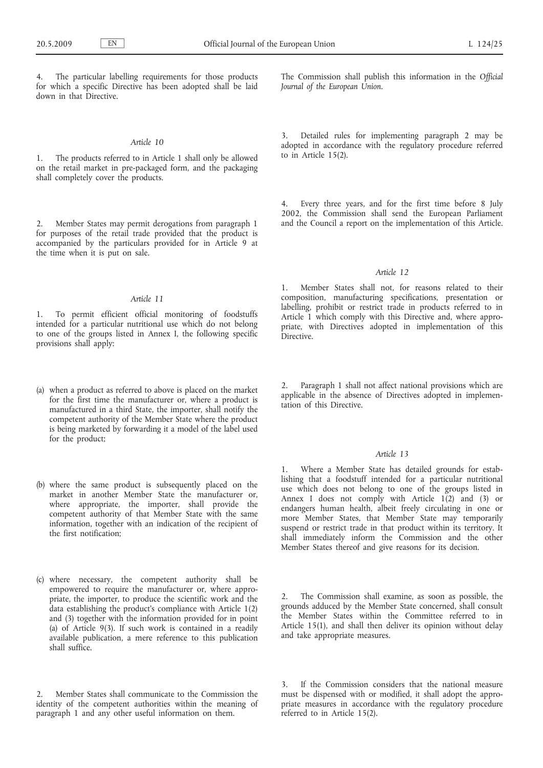4. The particular labelling requirements for those products for which a specific Directive has been adopted shall be laid down in that Directive.

#### *Article 10*

1. The products referred to in Article 1 shall only be allowed on the retail market in pre-packaged form, and the packaging shall completely cover the products.

Member States may permit derogations from paragraph 1 for purposes of the retail trade provided that the product is accompanied by the particulars provided for in Article 9 at the time when it is put on sale.

## *Article 11*

1. To permit efficient official monitoring of foodstuffs intended for a particular nutritional use which do not belong to one of the groups listed in Annex I, the following specific provisions shall apply:

- (a) when a product as referred to above is placed on the market for the first time the manufacturer or, where a product is manufactured in a third State, the importer, shall notify the competent authority of the Member State where the product is being marketed by forwarding it a model of the label used for the product;
- (b) where the same product is subsequently placed on the market in another Member State the manufacturer or, where appropriate, the importer, shall provide the competent authority of that Member State with the same information, together with an indication of the recipient of the first notification;
- (c) where necessary, the competent authority shall be empowered to require the manufacturer or, where appropriate, the importer, to produce the scientific work and the data establishing the product's compliance with Article 1(2) and (3) together with the information provided for in point (a) of Article 9(3). If such work is contained in a readily available publication, a mere reference to this publication shall suffice.

Member States shall communicate to the Commission the identity of the competent authorities within the meaning of paragraph 1 and any other useful information on them.

The Commission shall publish this information in the *Official Journal of the European Union*.

Detailed rules for implementing paragraph 2 may be adopted in accordance with the regulatory procedure referred to in Article 15(2).

4. Every three years, and for the first time before 8 July 2002, the Commission shall send the European Parliament and the Council a report on the implementation of this Article.

## *Article 12*

1. Member States shall not, for reasons related to their composition, manufacturing specifications, presentation or labelling, prohibit or restrict trade in products referred to in Article 1 which comply with this Directive and, where appropriate, with Directives adopted in implementation of this **Directive** 

2. Paragraph 1 shall not affect national provisions which are applicable in the absence of Directives adopted in implementation of this Directive.

## *Article 13*

1. Where a Member State has detailed grounds for establishing that a foodstuff intended for a particular nutritional use which does not belong to one of the groups listed in Annex I does not comply with Article 1(2) and (3) or endangers human health, albeit freely circulating in one or more Member States, that Member State may temporarily suspend or restrict trade in that product within its territory. It shall immediately inform the Commission and the other Member States thereof and give reasons for its decision.

The Commission shall examine, as soon as possible, the grounds adduced by the Member State concerned, shall consult the Member States within the Committee referred to in Article 15(1), and shall then deliver its opinion without delay and take appropriate measures.

3. If the Commission considers that the national measure must be dispensed with or modified, it shall adopt the appropriate measures in accordance with the regulatory procedure referred to in Article 15(2).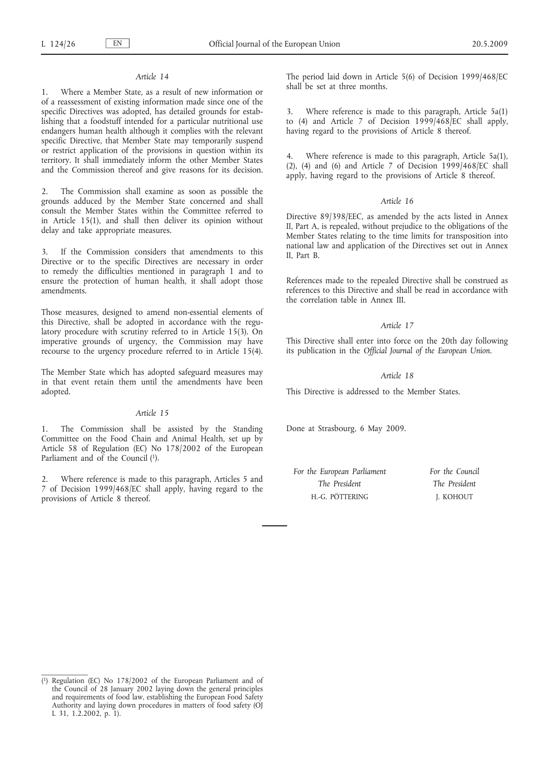#### *Article 14*

1. Where a Member State, as a result of new information or of a reassessment of existing information made since one of the specific Directives was adopted, has detailed grounds for establishing that a foodstuff intended for a particular nutritional use endangers human health although it complies with the relevant specific Directive, that Member State may temporarily suspend or restrict application of the provisions in question within its territory. It shall immediately inform the other Member States and the Commission thereof and give reasons for its decision.

2. The Commission shall examine as soon as possible the grounds adduced by the Member State concerned and shall consult the Member States within the Committee referred to in Article 15(1), and shall then deliver its opinion without delay and take appropriate measures.

3. If the Commission considers that amendments to this Directive or to the specific Directives are necessary in order to remedy the difficulties mentioned in paragraph 1 and to ensure the protection of human health, it shall adopt those amendments.

Those measures, designed to amend non-essential elements of this Directive, shall be adopted in accordance with the regulatory procedure with scrutiny referred to in Article 15(3). On imperative grounds of urgency, the Commission may have recourse to the urgency procedure referred to in Article 15(4).

The Member State which has adopted safeguard measures may in that event retain them until the amendments have been adopted.

## *Article 15*

1. The Commission shall be assisted by the Standing Committee on the Food Chain and Animal Health, set up by Article 58 of Regulation (EC) No 178/2002 of the European Parliament and of the Council (1).

2. Where reference is made to this paragraph, Articles 5 and 7 of Decision 1999/468/EC shall apply, having regard to the provisions of Article 8 thereof.

The period laid down in Article 5(6) of Decision 1999/468/EC shall be set at three months.

3. Where reference is made to this paragraph, Article 5a(1) to (4) and Article 7 of Decision 1999/468/EC shall apply, having regard to the provisions of Article 8 thereof.

Where reference is made to this paragraph, Article 5a(1), (2), (4) and (6) and Article 7 of Decision  $1999/468/EC$  shall apply, having regard to the provisions of Article 8 thereof.

#### *Article 16*

Directive 89/398/EEC, as amended by the acts listed in Annex II, Part A, is repealed, without prejudice to the obligations of the Member States relating to the time limits for transposition into national law and application of the Directives set out in Annex II, Part B.

References made to the repealed Directive shall be construed as references to this Directive and shall be read in accordance with the correlation table in Annex III.

#### *Article 17*

This Directive shall enter into force on the 20th day following its publication in the *Official Journal of the European Union*.

## *Article 18*

This Directive is addressed to the Member States.

Done at Strasbourg, 6 May 2009.

| For the European Parliament | For the Council |
|-----------------------------|-----------------|
| The President               | The President   |
| H.-G. PÖTTERING             | J. KOHOUT       |

<sup>(</sup> 1) Regulation (EC) No 178/2002 of the European Parliament and of the Council of 28 January 2002 laying down the general principles and requirements of food law, establishing the European Food Safety Authority and laying down procedures in matters of food safety (OJ L 31, 1.2.2002, p. 1).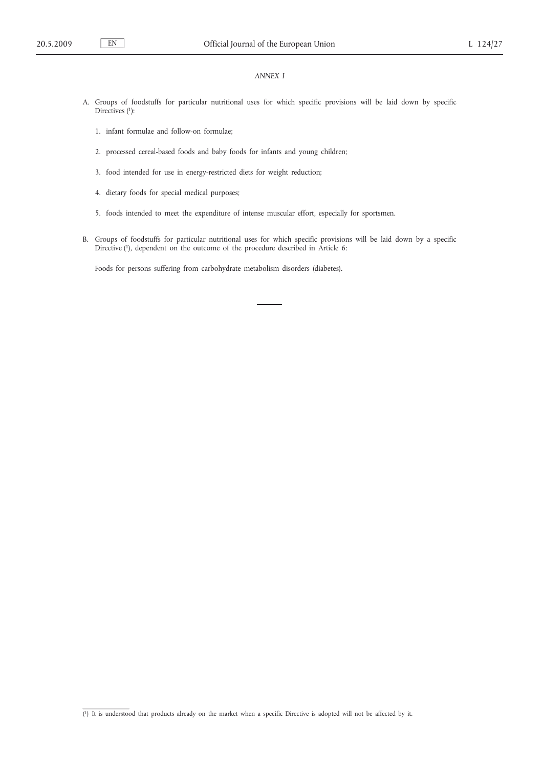## *ANNEX I*

- A. Groups of foodstuffs for particular nutritional uses for which specific provisions will be laid down by specific Directives (1):
	- 1. infant formulae and follow-on formulae;
	- 2. processed cereal-based foods and baby foods for infants and young children;
	- 3. food intended for use in energy-restricted diets for weight reduction;
	- 4. dietary foods for special medical purposes;
	- 5. foods intended to meet the expenditure of intense muscular effort, especially for sportsmen.
- B. Groups of foodstuffs for particular nutritional uses for which specific provisions will be laid down by a specific Directive (1), dependent on the outcome of the procedure described in Article 6:

Foods for persons suffering from carbohydrate metabolism disorders (diabetes).

<sup>(</sup> 1) It is understood that products already on the market when a specific Directive is adopted will not be affected by it.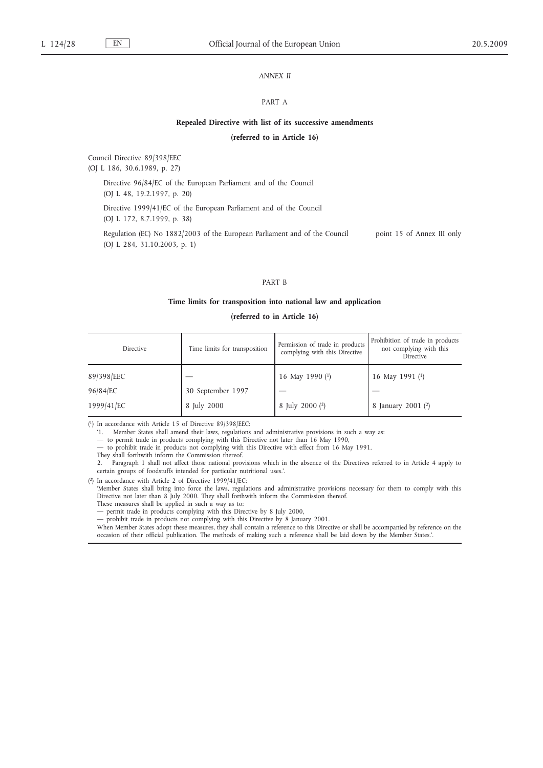## *ANNEX II*

#### PART A

#### **Repealed Directive with list of its successive amendments**

## **(referred to in Article 16)**

Council Directive 89/398/EEC

(OJ L 186, 30.6.1989, p. 27)

Directive 96/84/EC of the European Parliament and of the Council

(OJ L 48, 19.2.1997, p. 20)

Directive 1999/41/EC of the European Parliament and of the Council

(OJ L 172, 8.7.1999, p. 38)

Regulation (EC) No 1882/2003 of the European Parliament and of the Council (OJ L 284, 31.10.2003, p. 1) point 15 of Annex III only

#### PART B

#### **Time limits for transposition into national law and application**

## **(referred to in Article 16)**

| Directive  | Time limits for transposition | Permission of trade in products<br>complying with this Directive | Prohibition of trade in products<br>not complying with this<br>Directive |
|------------|-------------------------------|------------------------------------------------------------------|--------------------------------------------------------------------------|
| 89/398/EEC |                               | 16 May 1990 $(1)$                                                | 16 May 1991 $(1)$                                                        |
| 96/84/EC   | 30 September 1997             |                                                                  |                                                                          |
| 1999/41/EC | 8 July 2000                   | 8 July 2000 ( <sup>2</sup> )                                     | 8 January 2001 $(2)$                                                     |

( 1) In accordance with Article 15 of Directive 89/398/EEC:

'1. Member States shall amend their laws, regulations and administrative provisions in such a way as:

— to permit trade in products complying with this Directive not later than 16 May 1990,

— to prohibit trade in products not complying with this Directive with effect from 16 May 1991.

They shall forthwith inform the Commission thereof.

2. Paragraph 1 shall not affect those national provisions which in the absence of the Directives referred to in Article 4 apply to certain groups of foodstuffs intended for particular nutritional uses.'.

( 2) In accordance with Article 2 of Directive 1999/41/EC:

'Member States shall bring into force the laws, regulations and administrative provisions necessary for them to comply with this Directive not later than 8 July 2000. They shall forthwith inform the Commission thereof.

These measures shall be applied in such a way as to:

— permit trade in products complying with this Directive by 8 July 2000, prohibit trade in products not complying with this Directive by 8 January 2001.

When Member States adopt these measures, they shall contain a reference to this Directive or shall be accompanied by reference on the occasion of their official publication. The methods of making such a reference shall be laid down by the Member States.'.